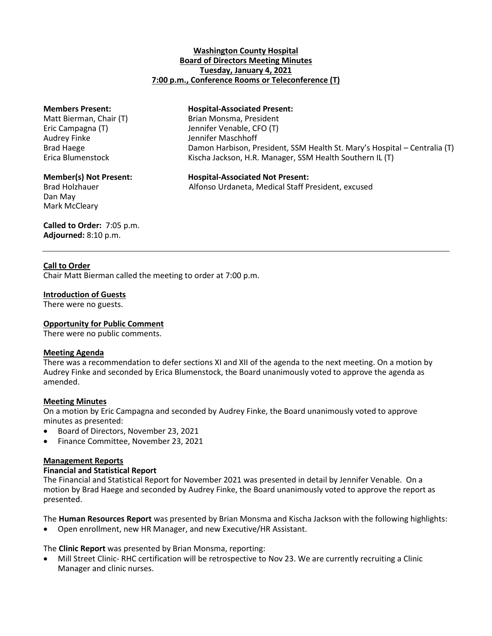### **Washington County Hospital Board of Directors Meeting Minutes Tuesday, January 4, 2021 7:00 p.m., Conference Rooms or Teleconference (T)**

Audrey Finke Jennifer Maschhoff

Dan May Mark McCleary

# **Members Present: Hospital-Associated Present:**

Matt Bierman, Chair (T) Brian Monsma, President Eric Campagna (T) Jennifer Venable, CFO (T) Brad Haege Damon Harbison, President, SSM Health St. Mary's Hospital – Centralia (T) Erica Blumenstock Kischa Jackson, H.R. Manager, SSM Health Southern IL (T)

# **Member(s) Not Present: Hospital-Associated Not Present:**

Brad Holzhauer **Alfonso Urdaneta, Medical Staff President**, excused

# **Called to Order:** 7:05 p.m. **Adjourned:** 8:10 p.m.

# **Call to Order**

Chair Matt Bierman called the meeting to order at 7:00 p.m.

# **Introduction of Guests**

There were no guests.

# **Opportunity for Public Comment**

There were no public comments.

#### **Meeting Agenda**

There was a recommendation to defer sections XI and XII of the agenda to the next meeting. On a motion by Audrey Finke and seconded by Erica Blumenstock, the Board unanimously voted to approve the agenda as amended.

# **Meeting Minutes**

On a motion by Eric Campagna and seconded by Audrey Finke, the Board unanimously voted to approve minutes as presented:

- Board of Directors, November 23, 2021
- Finance Committee, November 23, 2021

#### **Management Reports**

#### **Financial and Statistical Report**

The Financial and Statistical Report for November 2021 was presented in detail by Jennifer Venable. On a motion by Brad Haege and seconded by Audrey Finke, the Board unanimously voted to approve the report as presented.

The **Human Resources Report** was presented by Brian Monsma and Kischa Jackson with the following highlights:

Open enrollment, new HR Manager, and new Executive/HR Assistant.

The **Clinic Report** was presented by Brian Monsma, reporting:

 Mill Street Clinic- RHC certification will be retrospective to Nov 23. We are currently recruiting a Clinic Manager and clinic nurses.